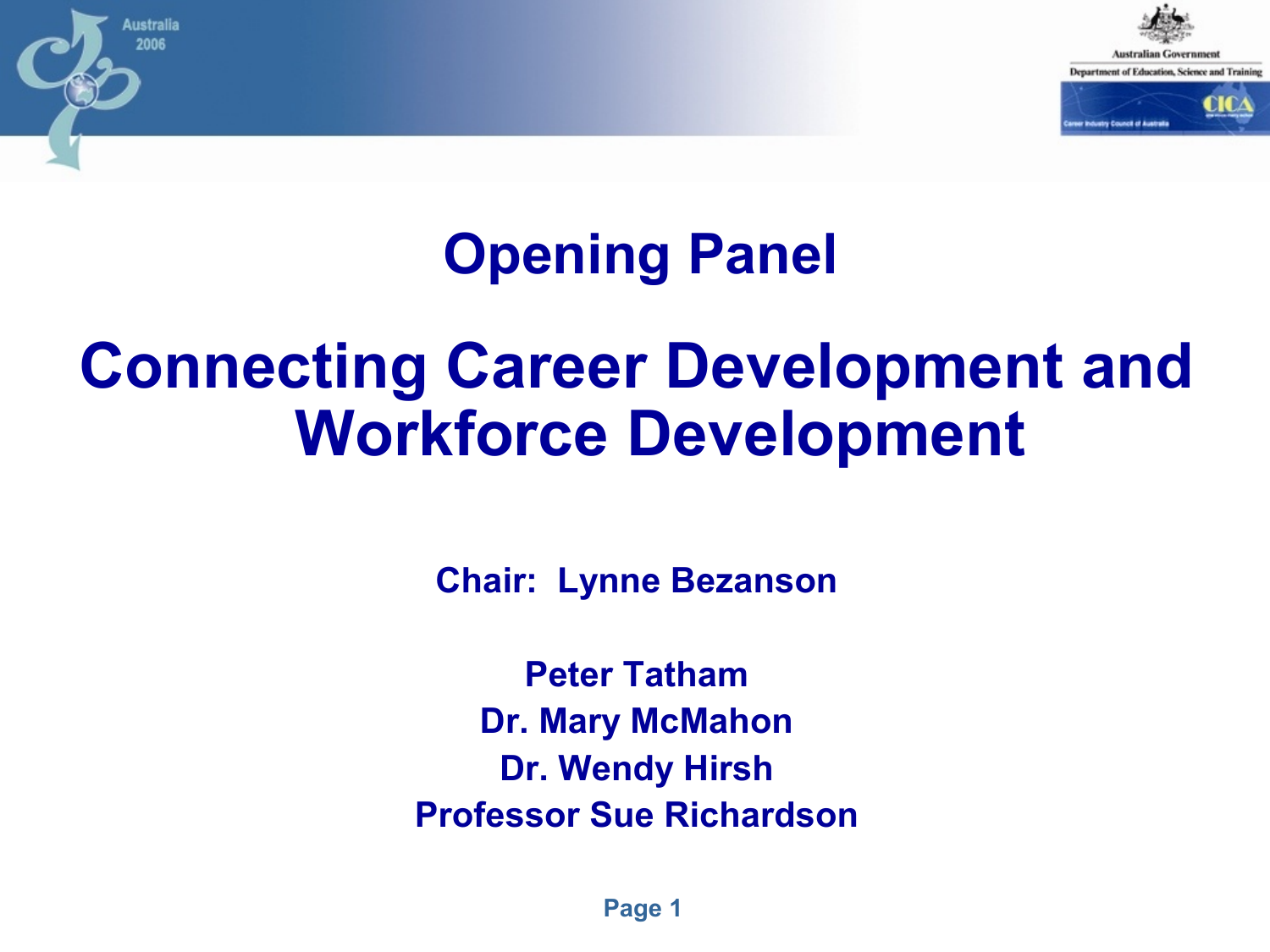

#### **Opening Panel**

ustralia 2006

# **Connecting Career Development and Workforce Development**

**Chair: Lynne Bezanson**

**Peter Tatham Dr. Mary McMahon Dr. Wendy Hirsh Professor Sue Richardson**

**Page 1**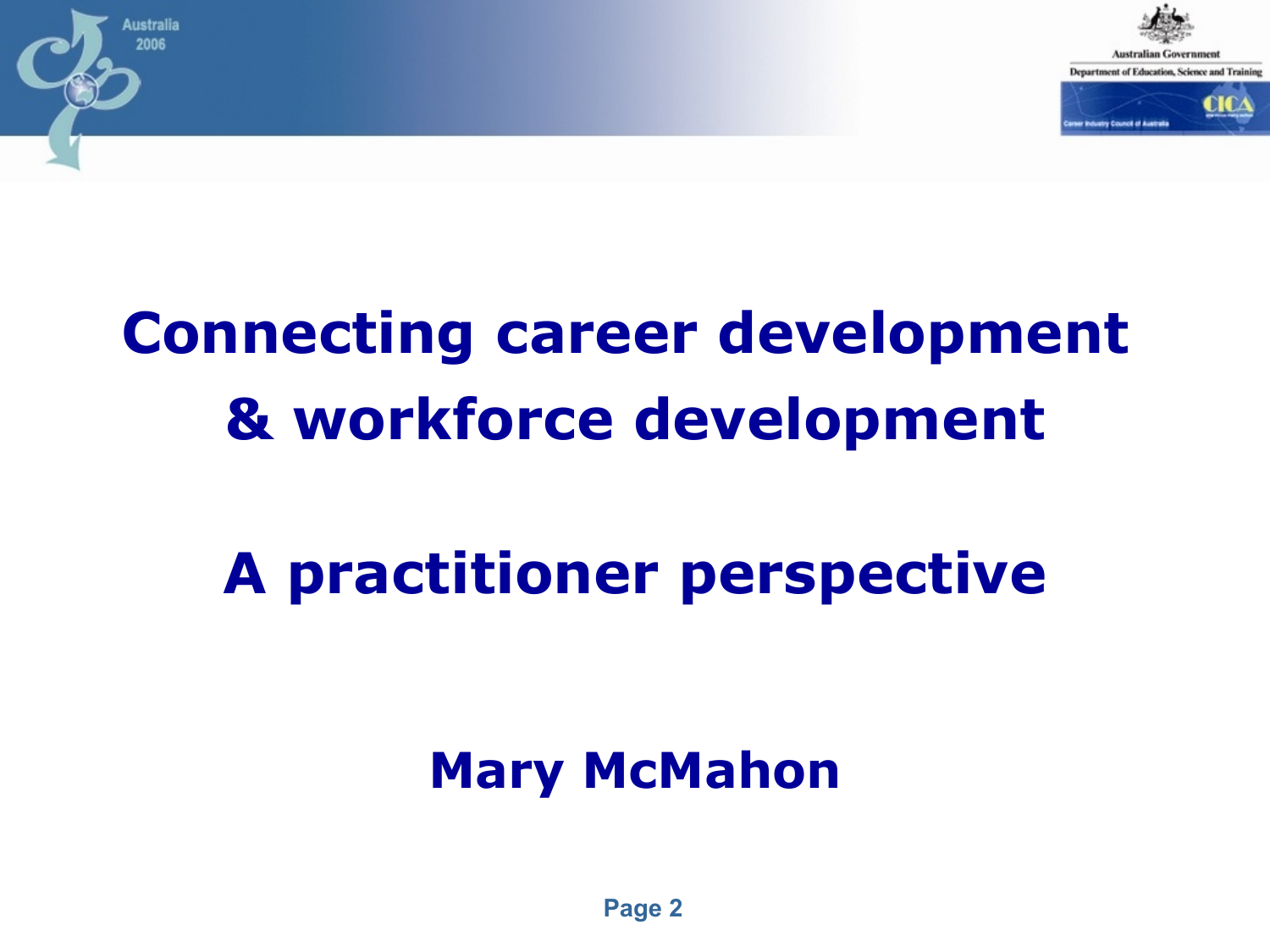



# **Connecting career development & workforce development**

# **A practitioner perspective**

#### **Mary McMahon**

**Page 2**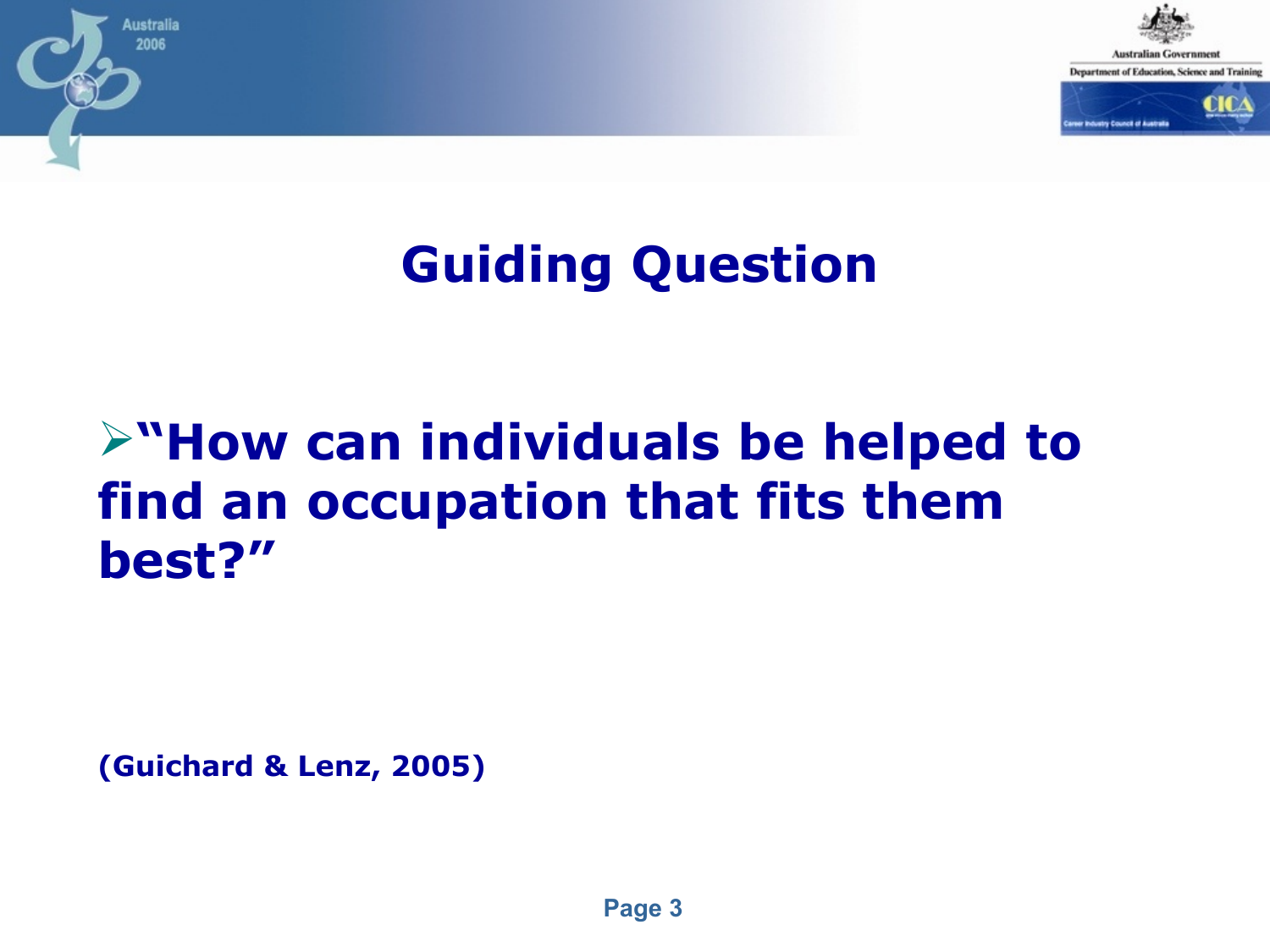

#### **Guiding Question**

#### **"How can individuals be helped to find an occupation that fits them best?"**

**(Guichard & Lenz, 2005)**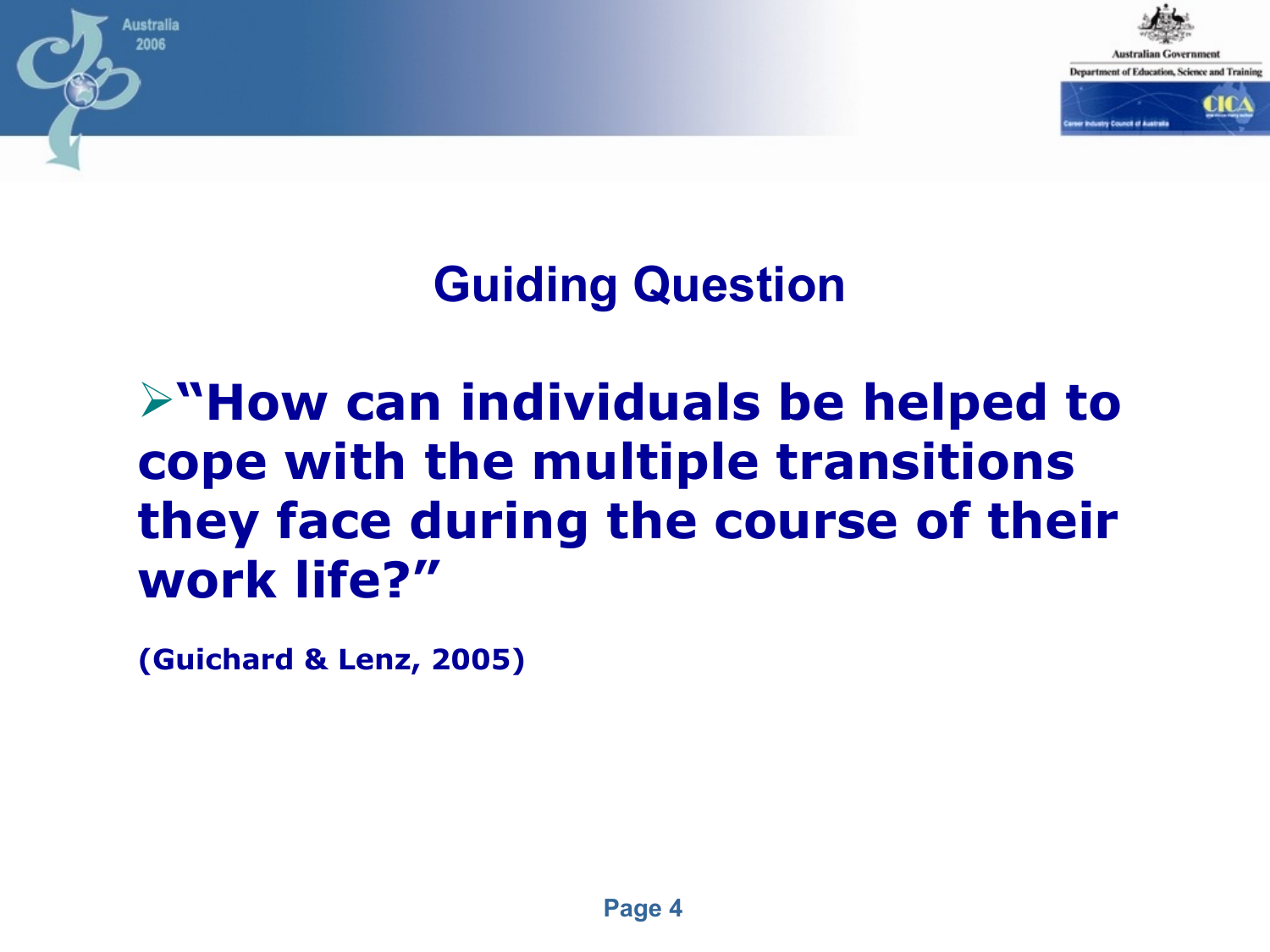

#### **Guiding Question**

#### **"How can individuals be helped to cope with the multiple transitions they face during the course of their work life?"**

**(Guichard & Lenz, 2005)**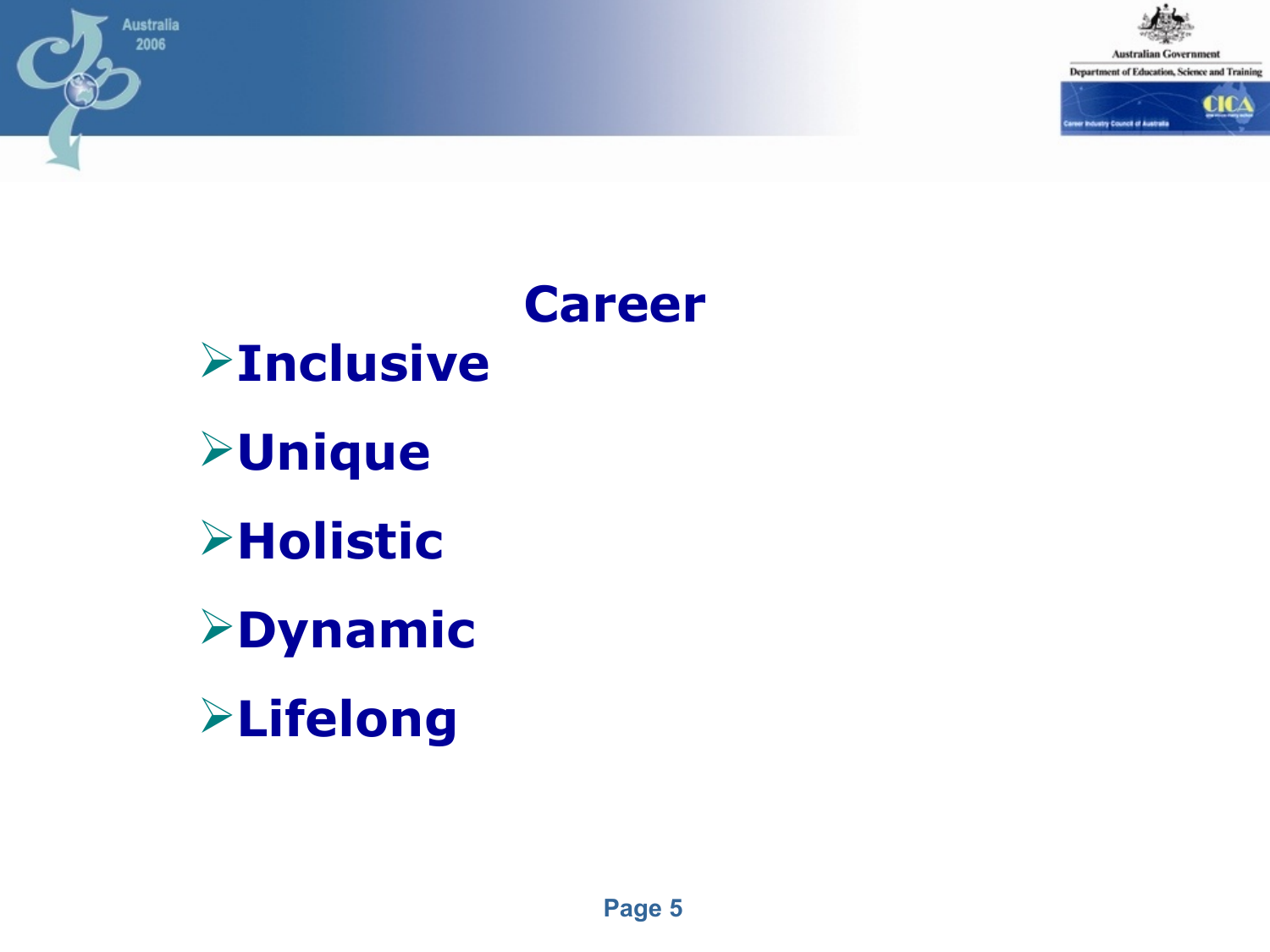

Department of Education, Science and Training



# **Career Inclusive Unique Holistic Dynamic Lifelong**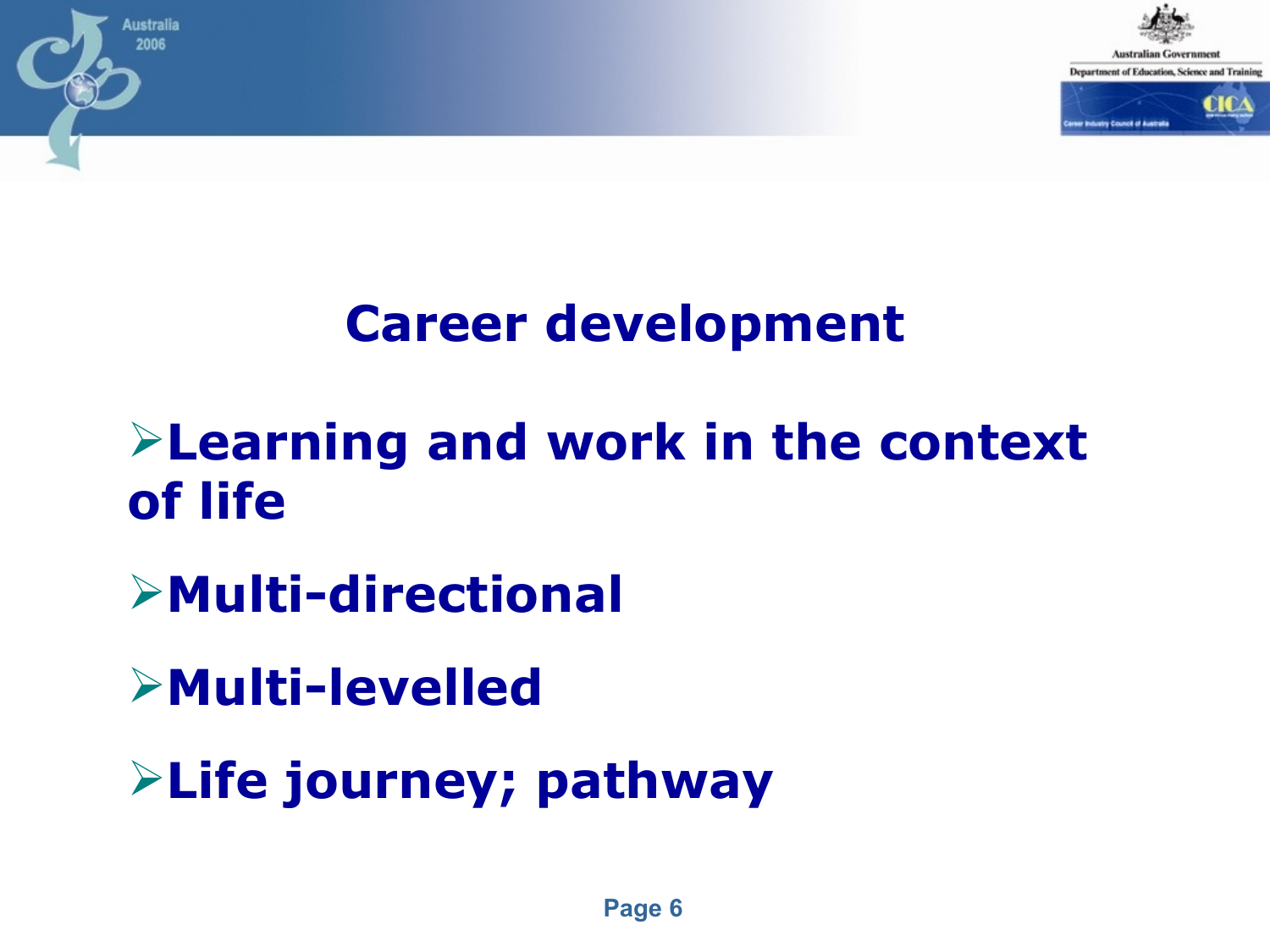



#### **Career development**

#### **Learning and work in the context of life**

- **Multi-directional**
- **Multi-levelled**
- **Life journey; pathway**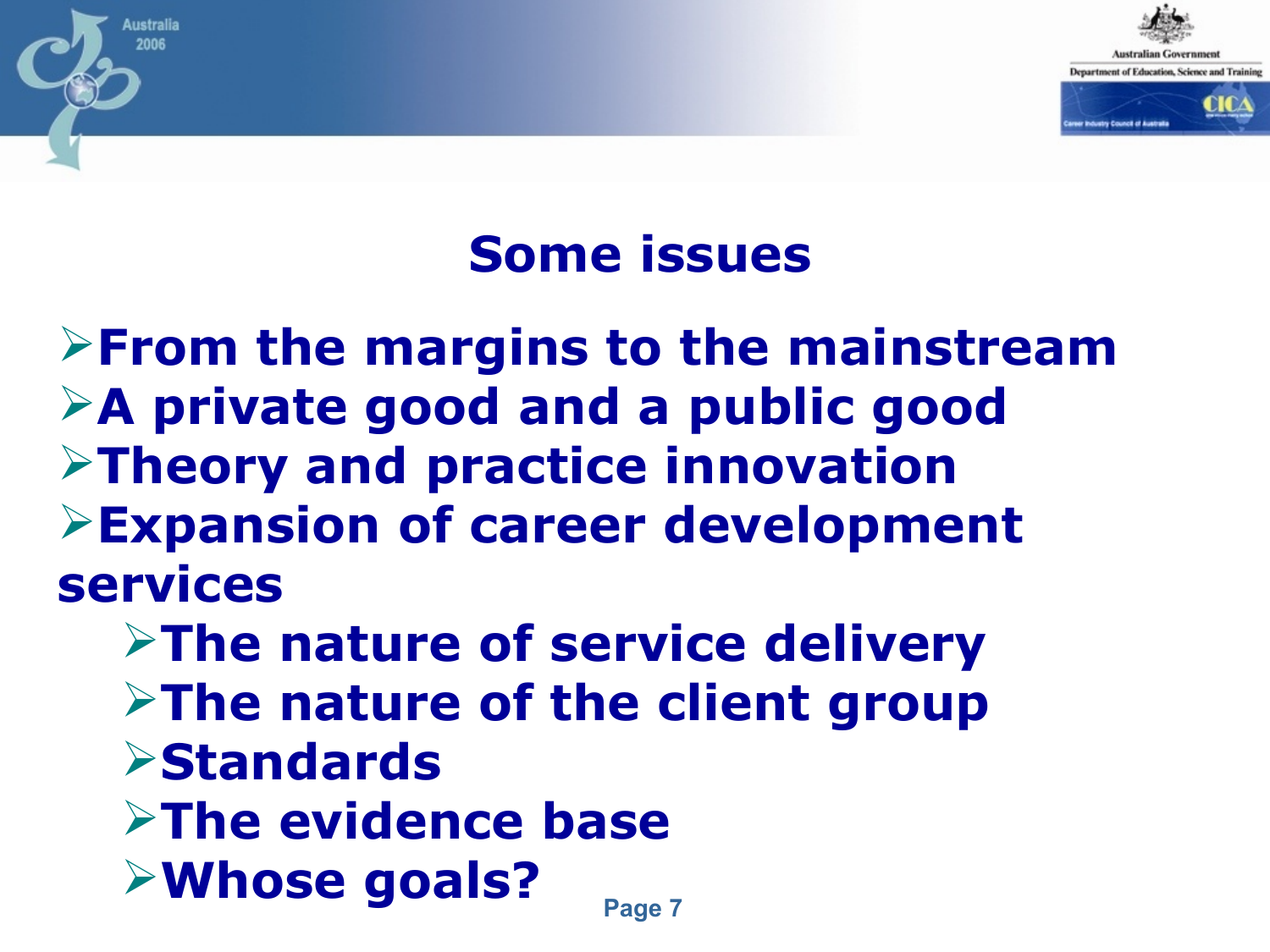

#### **Some issues**

**From the margins to the mainstream A private good and a public good Theory and practice innovation Expansion of career development services**

2006

**The nature of service delivery Example 2 Figure 10 Figure 2 Figure 2 Figure 2 Figure 2 Figure 2 Figure 2 Figure 2 Figure 2 Figure 2 Figure 2 Figure 2 Figure 2 Figure 2 Figure 2 Figure 2 Figure 2 Figure 2 Figure 2 Figure 2 Figure 2 Figure 2 Figure 2 Fig Standards The evidence base Whose goals?**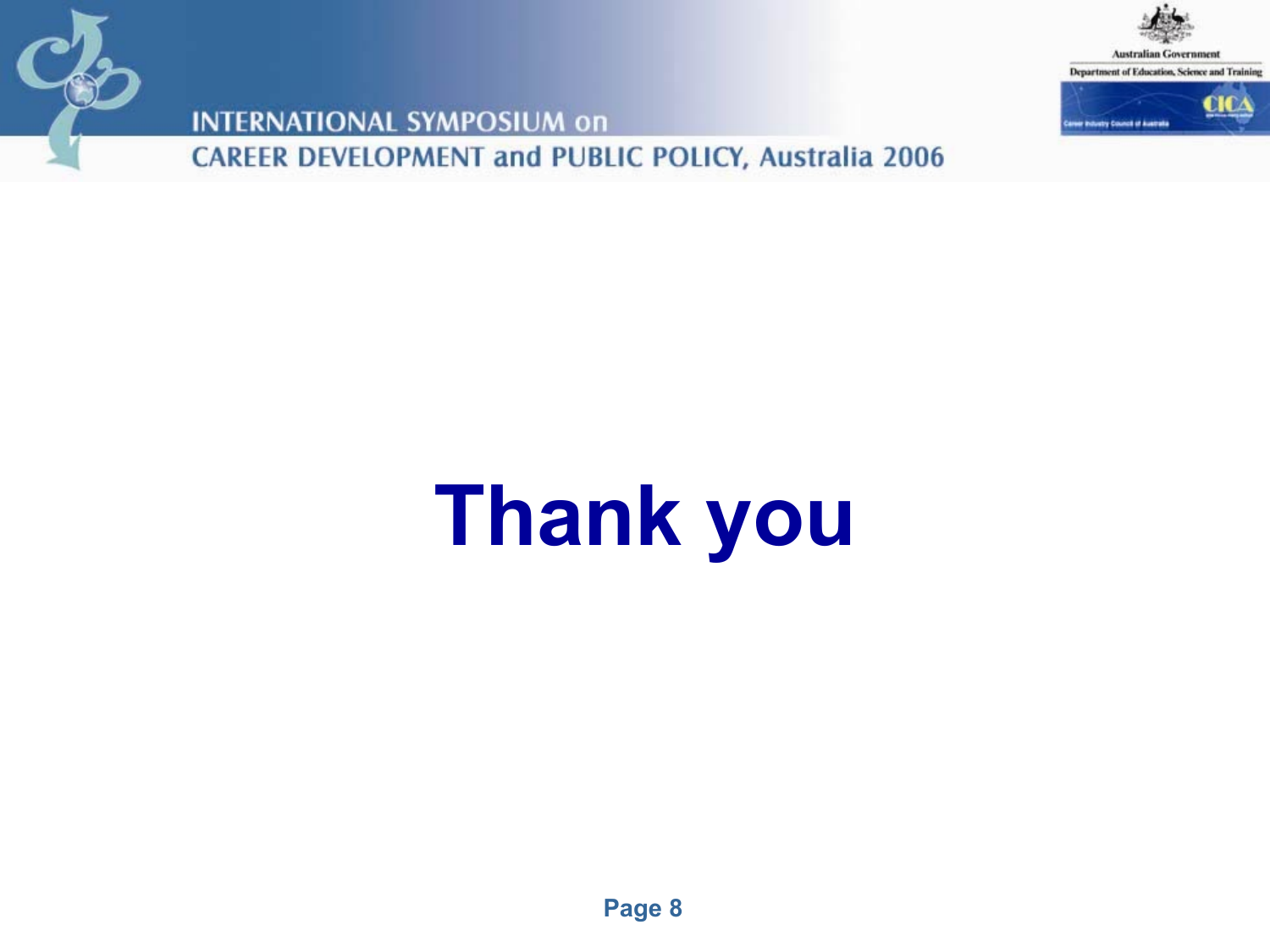



**INTERNATIONAL SYMPOSIUM on CAREER DEVELOPMENT and PUBLIC POLICY, Australia 2006** 

# **Thank you**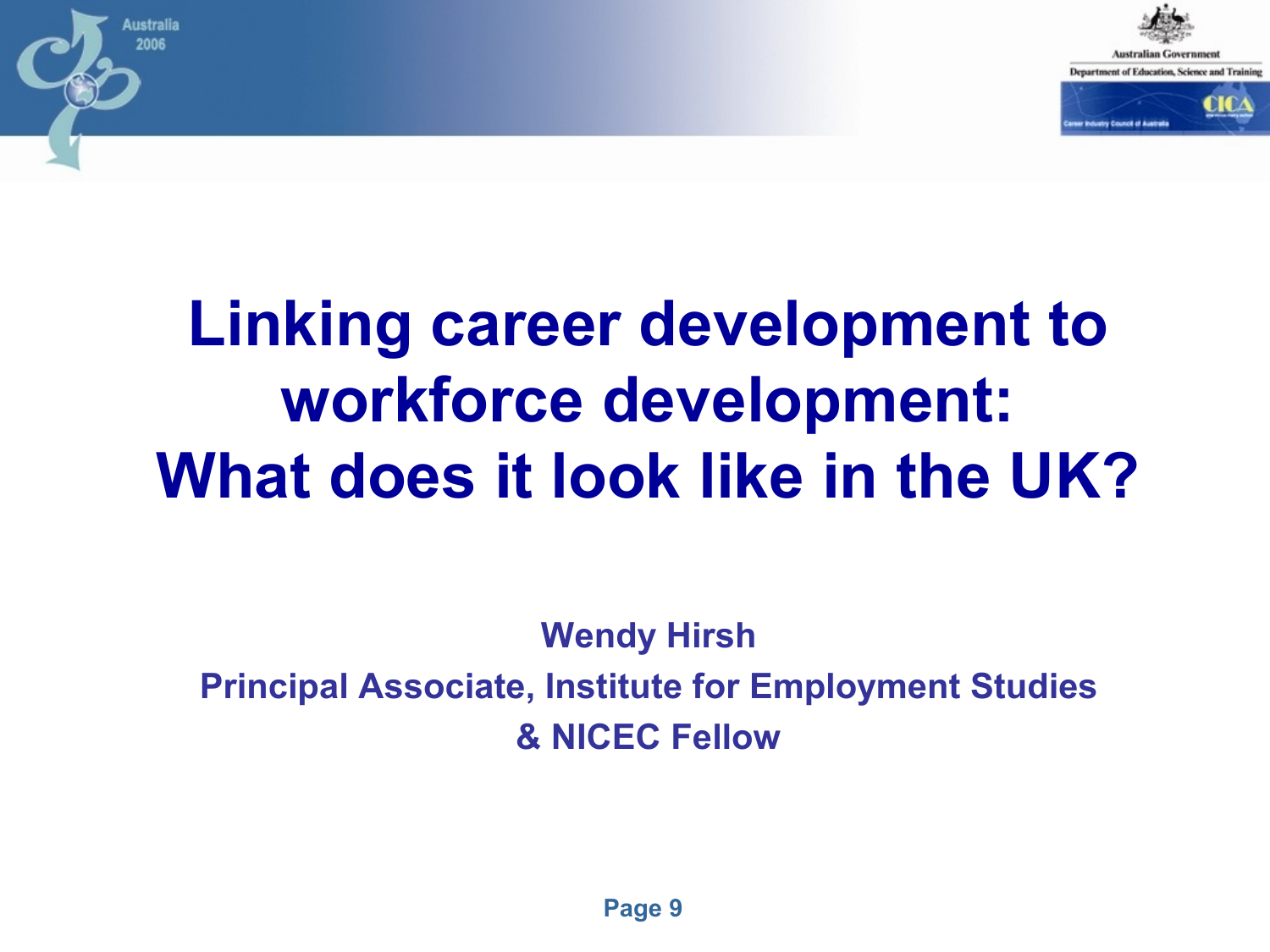

# **Linking career development to workforce development: What does it look like in the UK?**

ustralia 2006

> **Wendy Hirsh Principal Associate, Institute for Employment Studies & NICEC Fellow**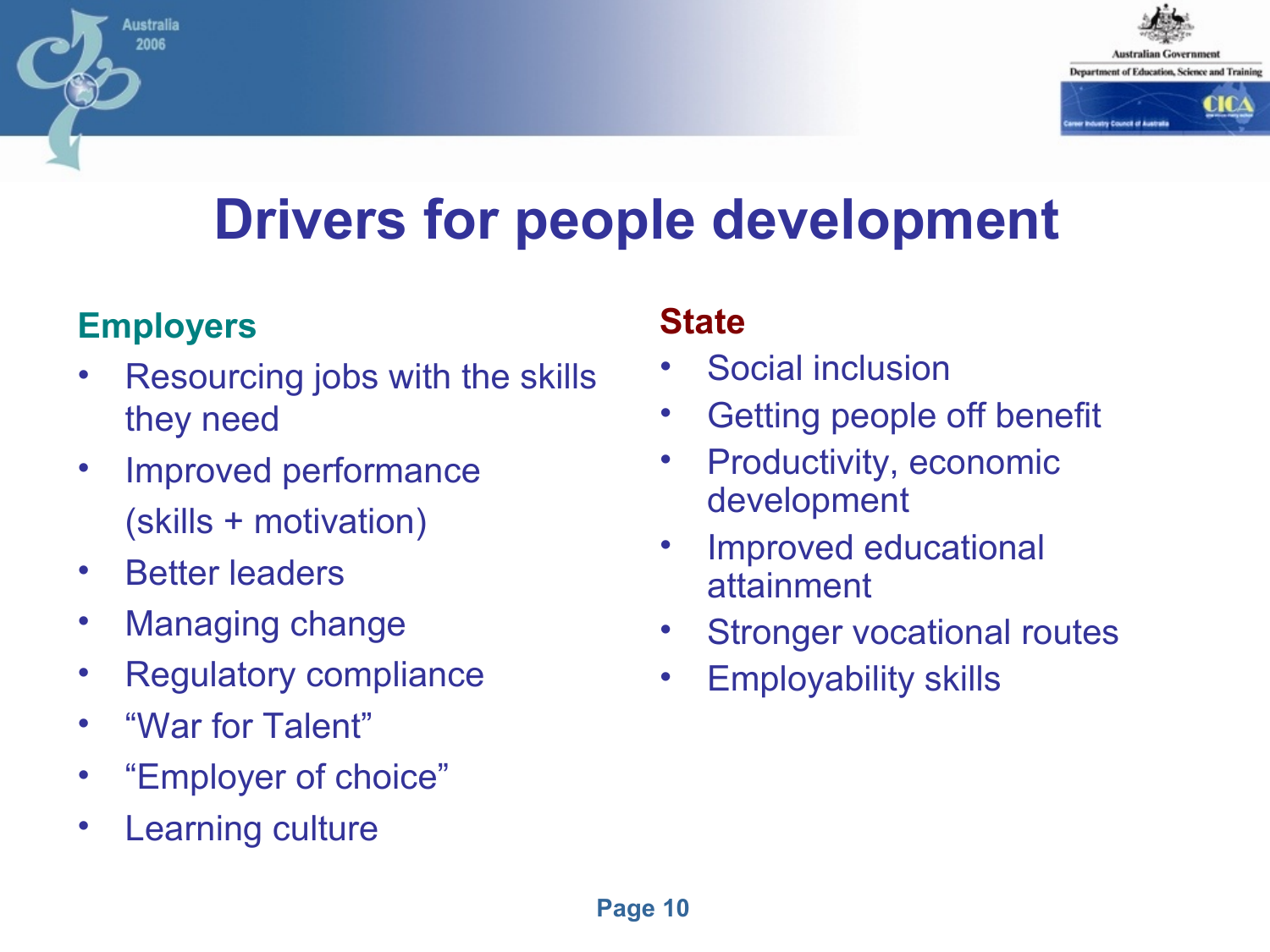

# **Drivers for people development**

#### **Employers**

Australia 2006

- Resourcing jobs with the skills they need
- Improved performance (skills + motivation)
- Better leaders
- Managing change
- Regulatory compliance
- "War for Talent"
- "Employer of choice"
- **Learning culture**

#### **State**

- Social inclusion
- Getting people off benefit
- Productivity, economic development
- Improved educational attainment
- Stronger vocational routes
- Employability skills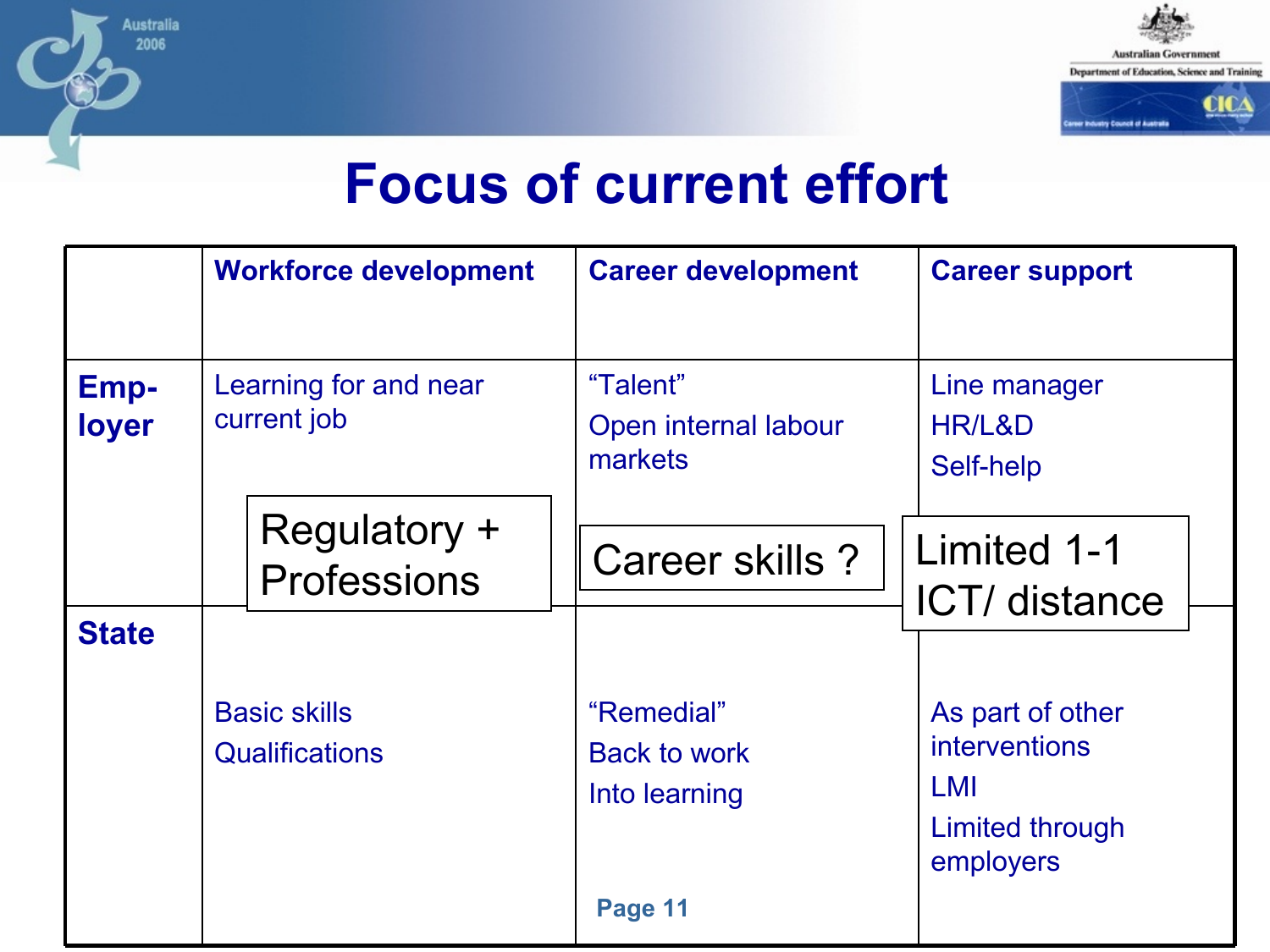

#### **Focus of current effort**

|                      | <b>Workforce development</b>                 | <b>Career development</b>                          | <b>Career support</b>                                                           |
|----------------------|----------------------------------------------|----------------------------------------------------|---------------------------------------------------------------------------------|
| <b>Emp-</b><br>loyer | Learning for and near<br>current job         | "Talent"<br>Open internal labour<br>markets        | Line manager<br>HR/L&D<br>Self-help                                             |
| <b>State</b>         | Regulatory +<br><b>Professions</b>           | Career skills ?                                    | Limited 1-1<br>ICT/ distance                                                    |
|                      | <b>Basic skills</b><br><b>Qualifications</b> | "Remedial"<br><b>Back to work</b><br>Into learning | As part of other<br><b>interventions</b><br>LMI<br>Limited through<br>employers |
|                      |                                              | Page 11                                            |                                                                                 |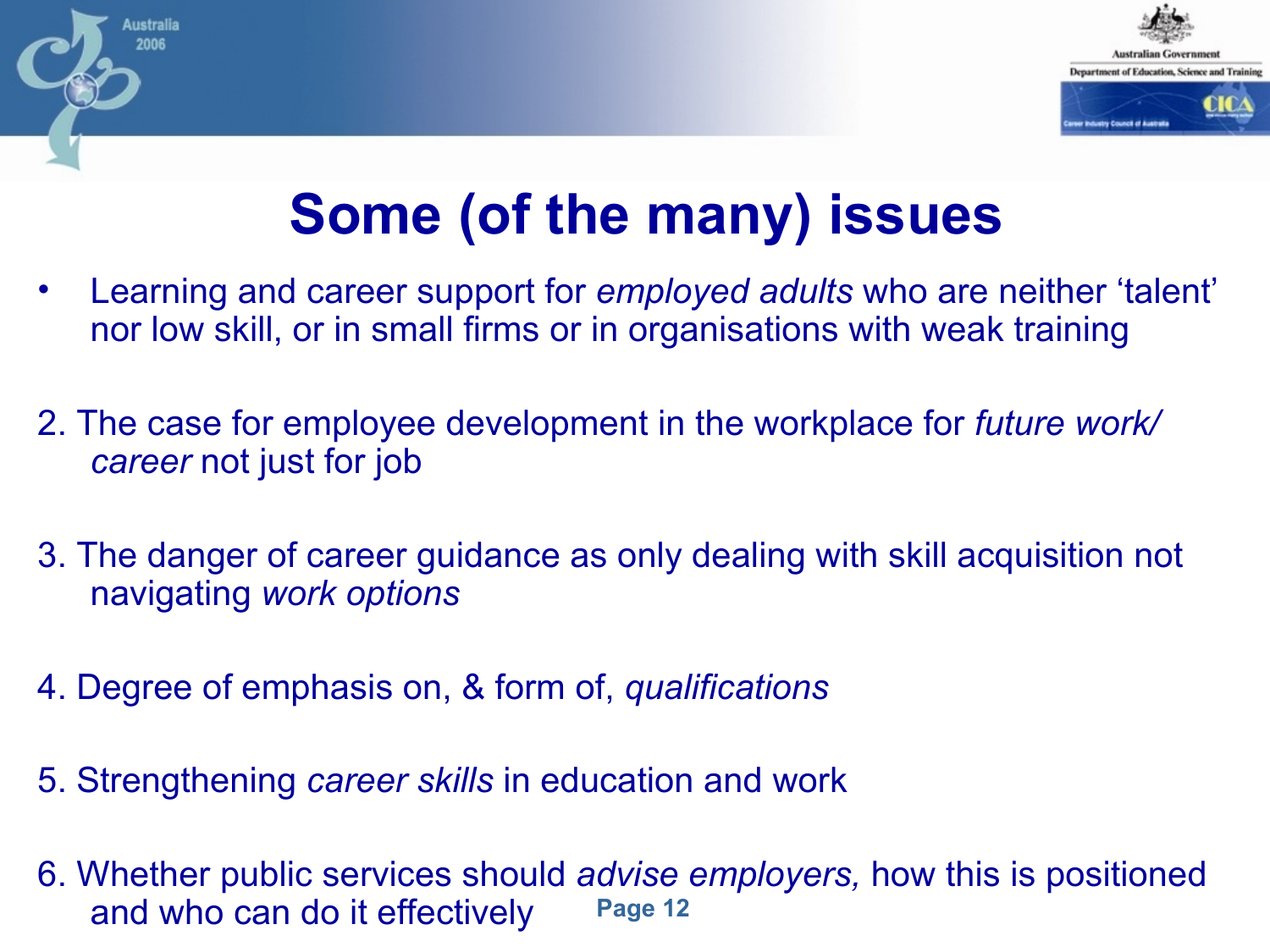

# **Some (of the many) issues**

- Learning and career support for *employed adults* who are neither 'talent' nor low skill, or in small firms or in organisations with weak training
- 2. The case for employee development in the workplace for *future work/ career* not just for job
- 3. The danger of career guidance as only dealing with skill acquisition not navigating *work options*
- 4. Degree of emphasis on, & form of, *qualifications*

- 5. Strengthening *career skills* in education and work
- **Page 12** 6. Whether public services should *advise employers,* how this is positioned and who can do it effectively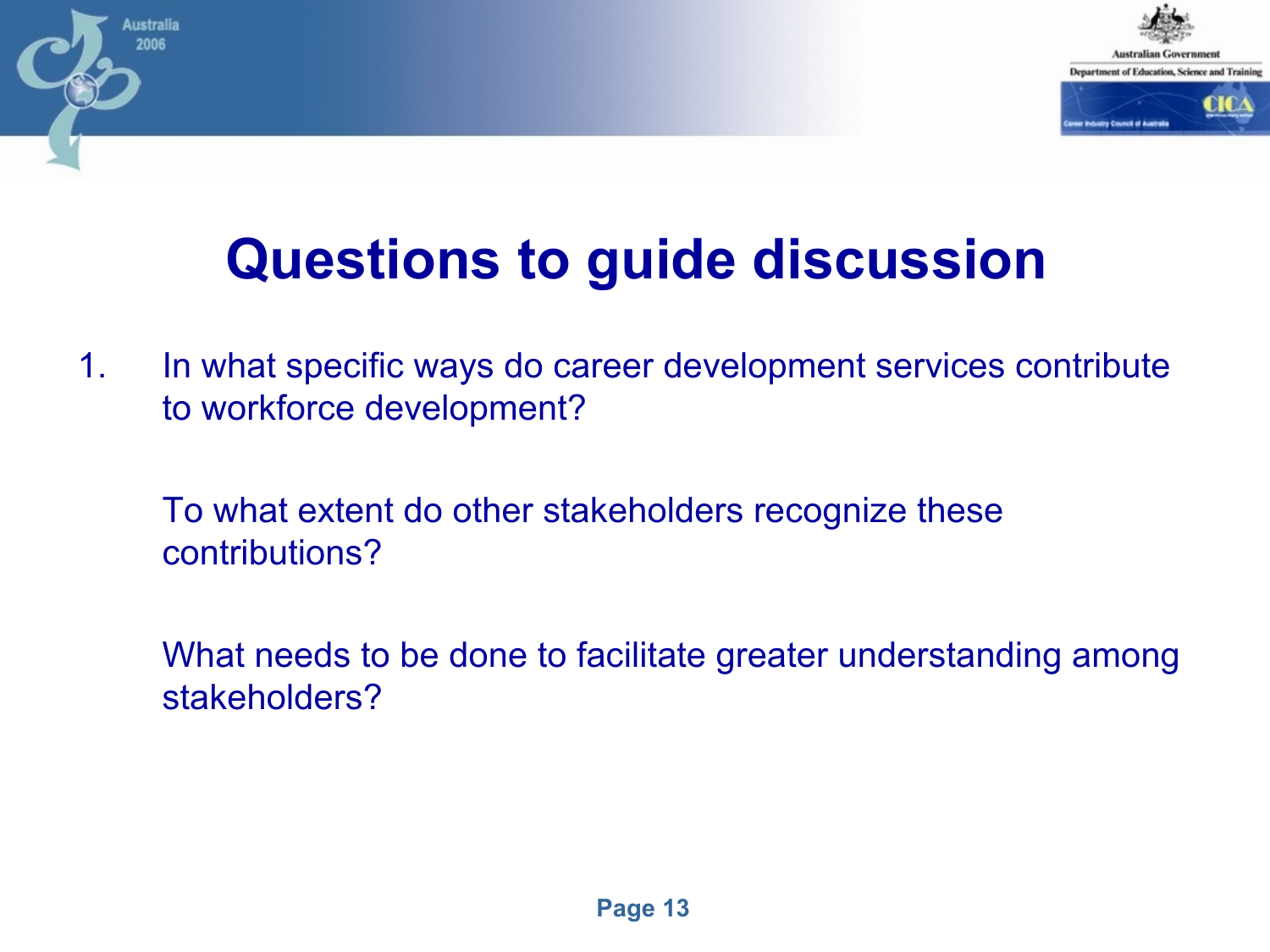

# **Questions to guide discussion**

- 1. In what specific ways do career development services contribute to workforce development?
	- To what extent do other stakeholders recognize these contributions?
	- What needs to be done to facilitate greater understanding among stakeholders?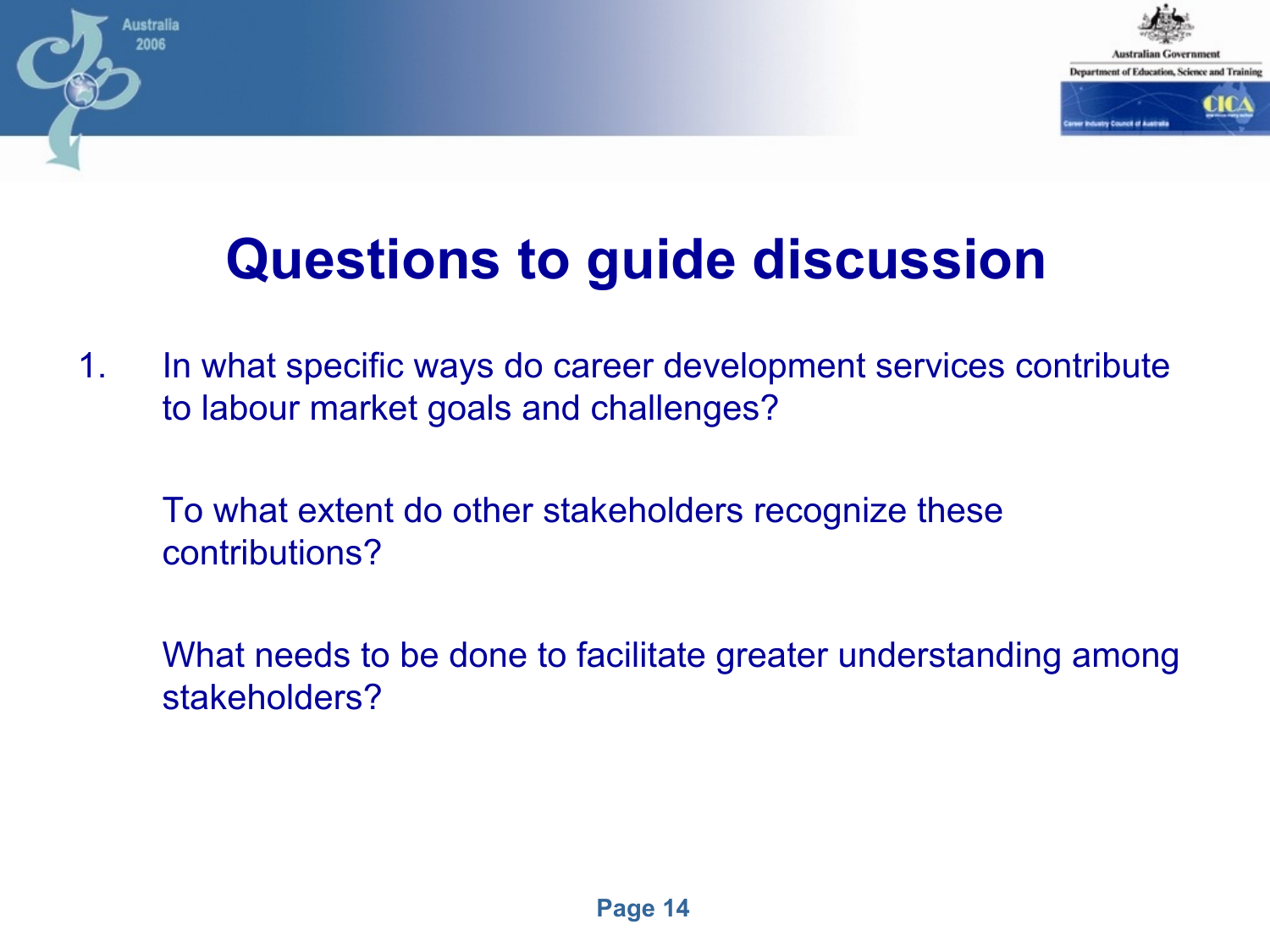

# **Questions to guide discussion**

- 1. In what specific ways do career development services contribute to labour market goals and challenges?
	- To what extent do other stakeholders recognize these contributions?
	- What needs to be done to facilitate greater understanding among stakeholders?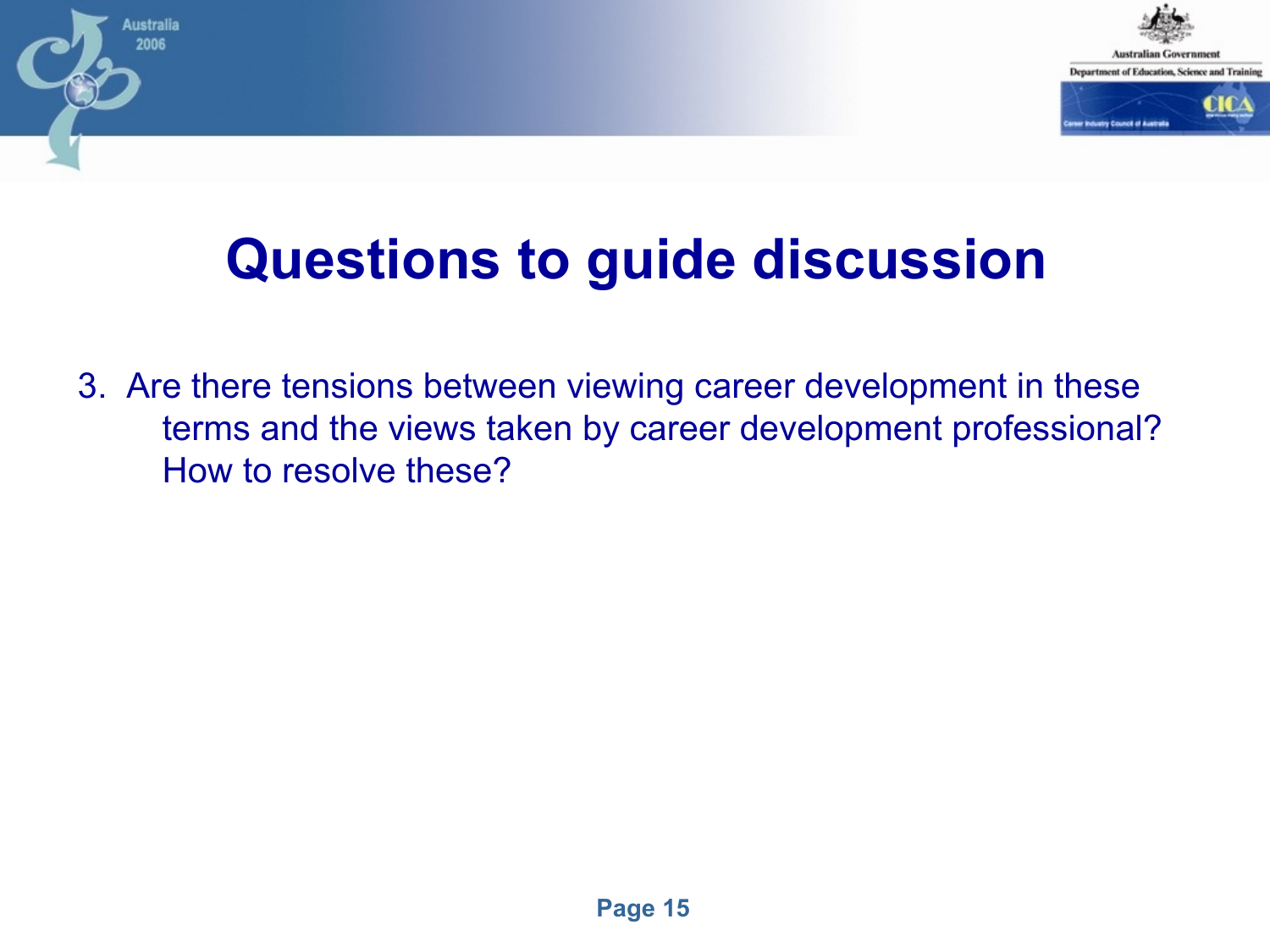

# **Questions to guide discussion**

ustralia 2006

3. Are there tensions between viewing career development in these terms and the views taken by career development professional? How to resolve these?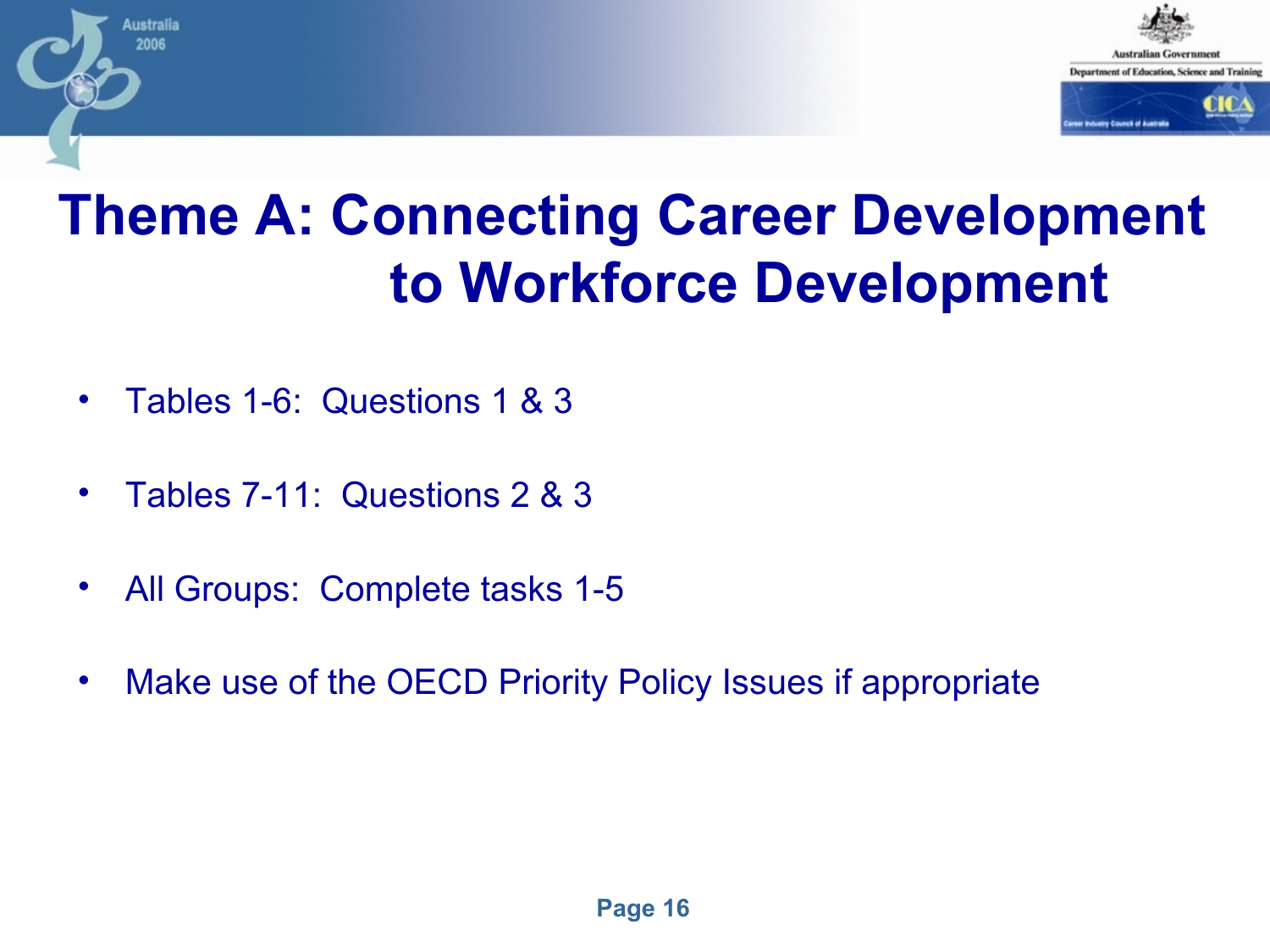

#### **Theme A: Connecting Career Development to Workforce Development**

• Tables 1-6: Questions 1 & 3

- Tables 7-11: Questions 2 & 3
- All Groups: Complete tasks 1-5
- Make use of the OECD Priority Policy Issues if appropriate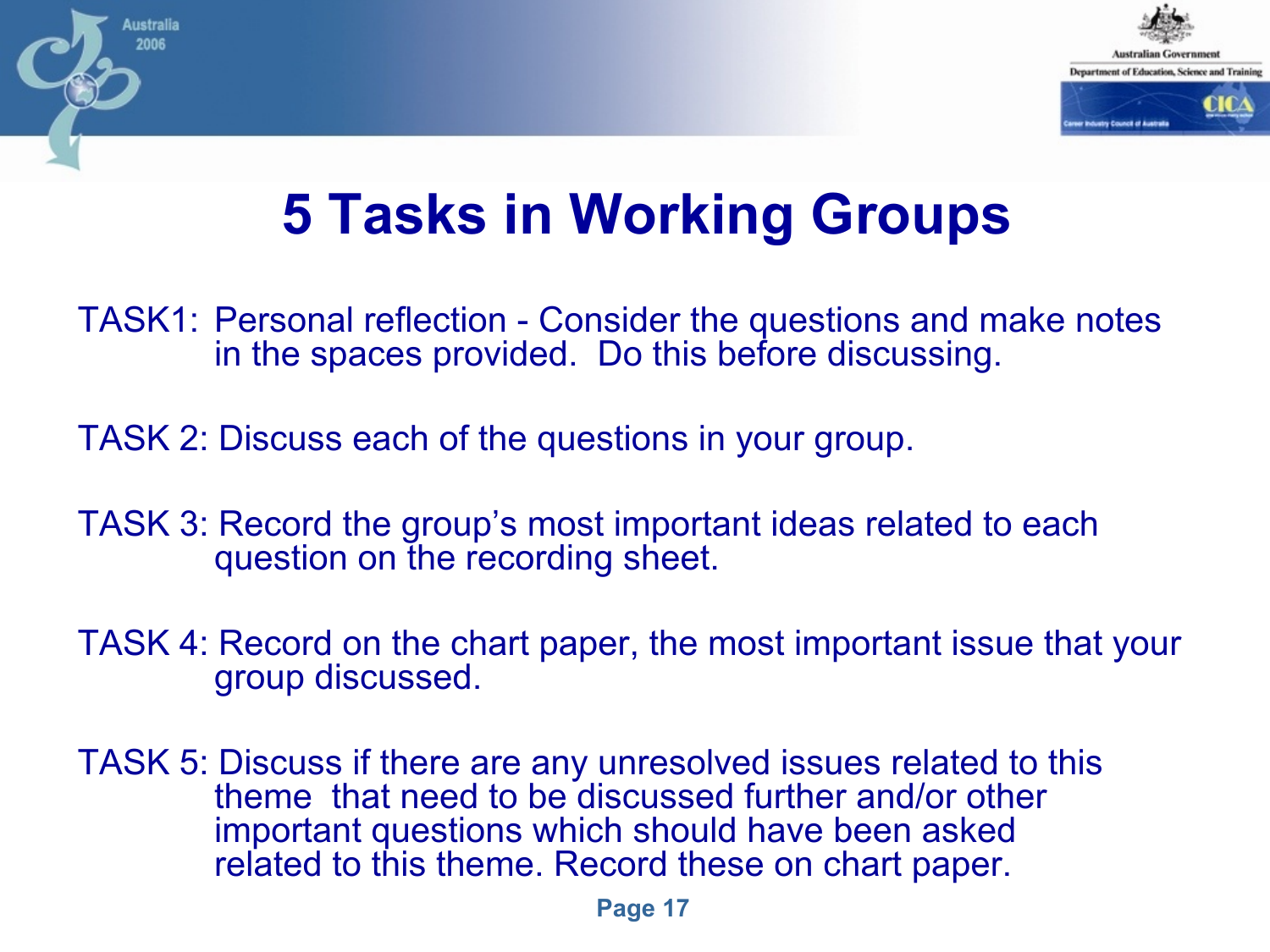

#### **5 Tasks in Working Groups**

- TASK1: Personal reflection Consider the questions and make notes in the spaces provided. Do this before discussing.
- TASK 2: Discuss each of the questions in your group.

- TASK 3: Record the group's most important ideas related to each question on the recording sheet.
- TASK 4: Record on the chart paper, the most important issue that your group discussed.
- TASK 5: Discuss if there are any unresolved issues related to this theme that need to be discussed further and/or other important questions which should have been asked related to this theme. Record these on chart paper.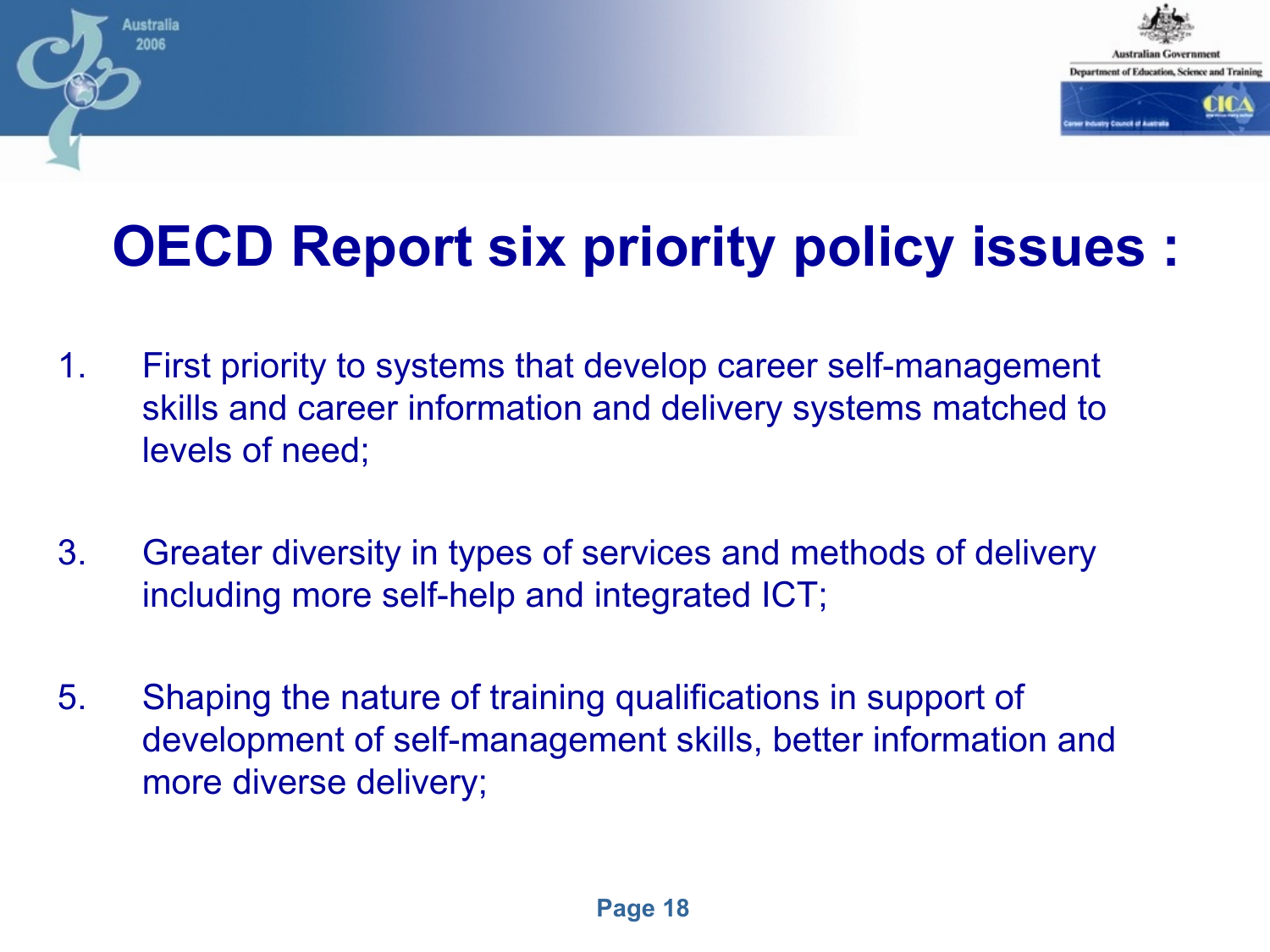

# **OECD Report six priority policy issues :**

1. First priority to systems that develop career self-management skills and career information and delivery systems matched to levels of need;

- 3. Greater diversity in types of services and methods of delivery including more self-help and integrated ICT;
- 5. Shaping the nature of training qualifications in support of development of self-management skills, better information and more diverse delivery;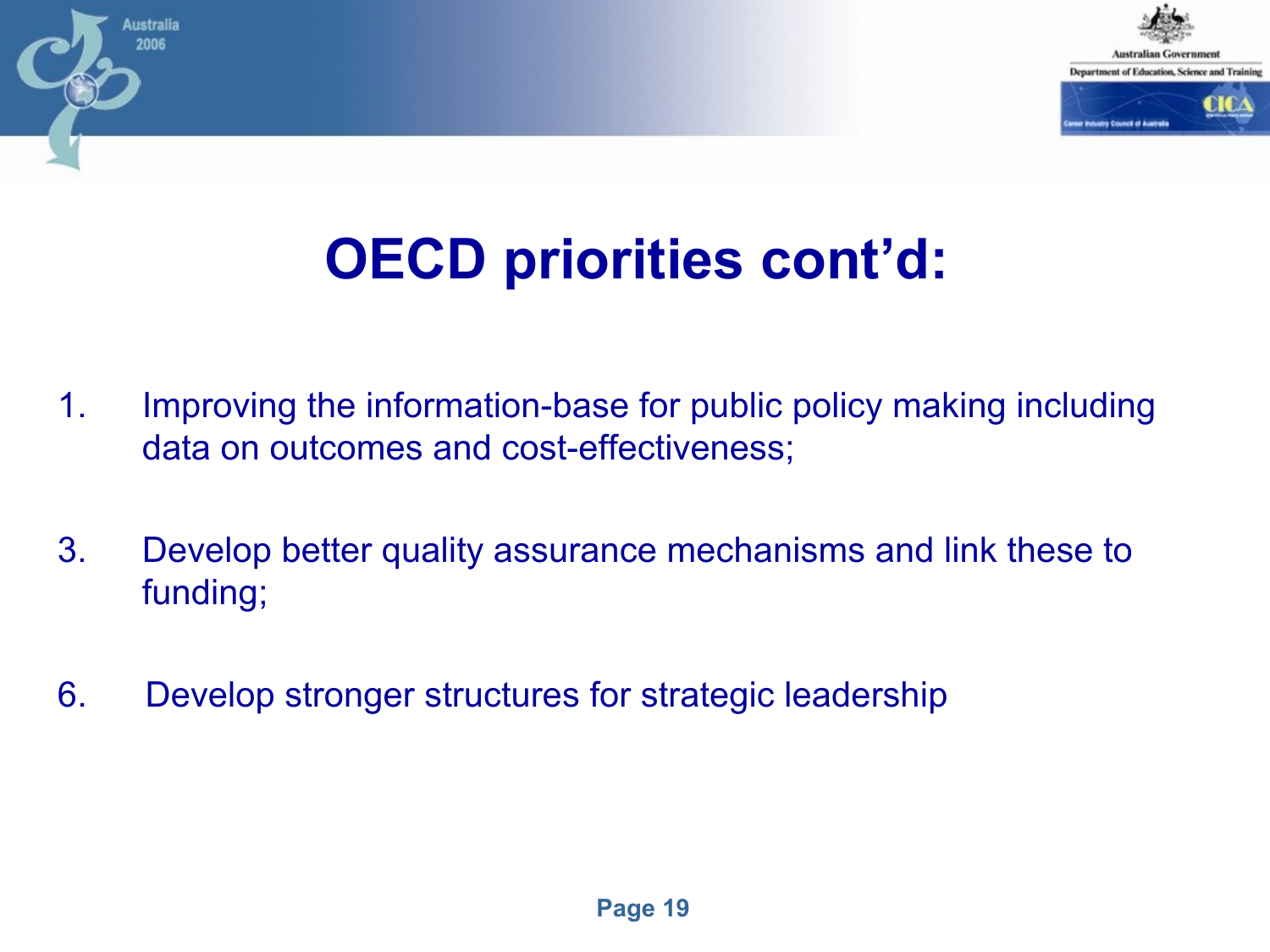

# **OECD priorities cont'd:**

- 1. Improving the information-base for public policy making including data on outcomes and cost-effectiveness;
- 3. Develop better quality assurance mechanisms and link these to funding;
- 6. Develop stronger structures for strategic leadership